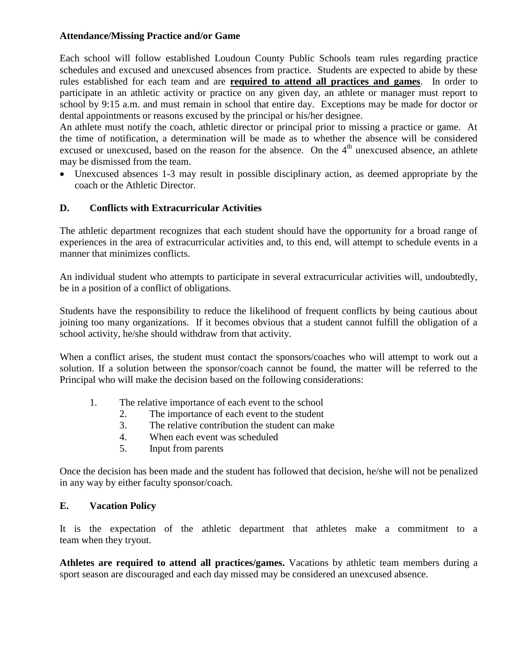## **Attendance/Missing Practice and/or Game**

Each school will follow established Loudoun County Public Schools team rules regarding practice schedules and excused and unexcused absences from practice. Students are expected to abide by these rules established for each team and are **required to attend all practices and games**. In order to participate in an athletic activity or practice on any given day, an athlete or manager must report to school by 9:15 a.m. and must remain in school that entire day. Exceptions may be made for doctor or dental appointments or reasons excused by the principal or his/her designee.

An athlete must notify the coach, athletic director or principal prior to missing a practice or game. At the time of notification, a determination will be made as to whether the absence will be considered excused or unexcused, based on the reason for the absence. On the 4<sup>th</sup> unexcused absence, an athlete may be dismissed from the team.

 Unexcused absences 1-3 may result in possible disciplinary action, as deemed appropriate by the coach or the Athletic Director.

## **D. Conflicts with Extracurricular Activities**

The athletic department recognizes that each student should have the opportunity for a broad range of experiences in the area of extracurricular activities and, to this end, will attempt to schedule events in a manner that minimizes conflicts.

An individual student who attempts to participate in several extracurricular activities will, undoubtedly, be in a position of a conflict of obligations.

Students have the responsibility to reduce the likelihood of frequent conflicts by being cautious about joining too many organizations. If it becomes obvious that a student cannot fulfill the obligation of a school activity, he/she should withdraw from that activity.

When a conflict arises, the student must contact the sponsors/coaches who will attempt to work out a solution. If a solution between the sponsor/coach cannot be found, the matter will be referred to the Principal who will make the decision based on the following considerations:

- 1. The relative importance of each event to the school
	- 2. The importance of each event to the student
	- 3. The relative contribution the student can make
	- 4. When each event was scheduled
	- 5. Input from parents

Once the decision has been made and the student has followed that decision, he/she will not be penalized in any way by either faculty sponsor/coach.

## **E. Vacation Policy**

It is the expectation of the athletic department that athletes make a commitment to a team when they tryout.

**Athletes are required to attend all practices/games.** Vacations by athletic team members during a sport season are discouraged and each day missed may be considered an unexcused absence.